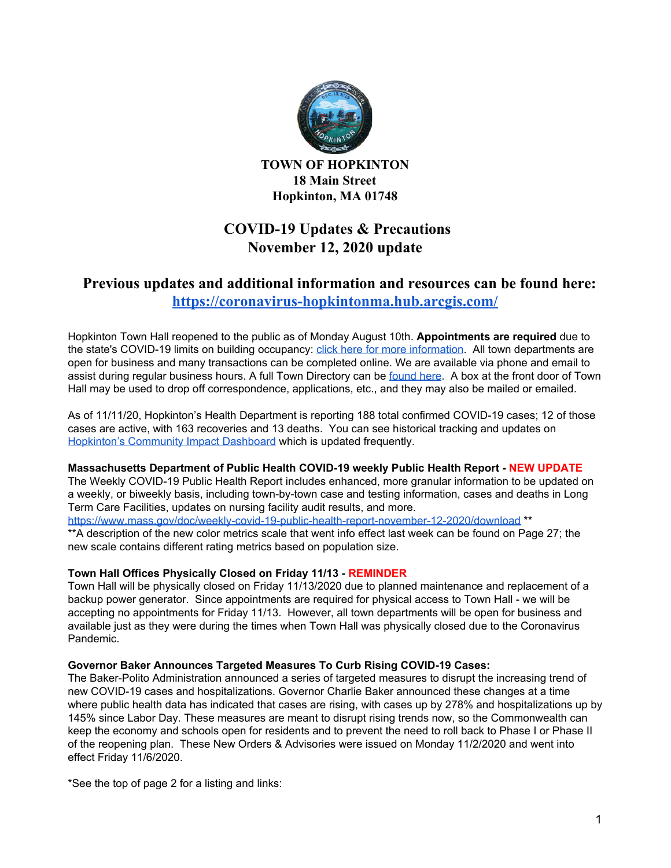

**TOWN OF HOPKINTON 18 Main Street Hopkinton, MA 01748**

# **COVID-19 Updates & Precautions November 12, 2020 update**

## **Previous updates and additional information and resources can be found here: <https://coronavirus-hopkintonma.hub.arcgis.com/>**

Hopkinton Town Hall reopened to the public as of Monday August 10th. **Appointments are required** due to the state's COVID-19 limits on building occupancy: click here for more [information](https://www.hopkintonma.gov/Hopkinton%20Town%20Hall%20Reopening%20Plan%208-7-2020.pdf). All town departments are open for business and many transactions can be completed online. We are available via phone and email to assist during regular business hours. A full Town Directory can be [found](https://www.hopkintonma.gov/departments/index.php) here. A box at the front door of Town Hall may be used to drop off correspondence, applications, etc., and they may also be mailed or emailed.

As of 11/11/20, Hopkinton's Health Department is reporting 188 total confirmed COVID-19 cases; 12 of those cases are active, with 163 recoveries and 13 deaths. You can see historical tracking and updates on [Hopkinton's](https://hopkintonma.maps.arcgis.com/apps/opsdashboard/index.html#/01aa244939e540aeb2991ec71392d431) Community Impact Dashboard which is updated frequently.

#### **Massachusetts Department of Public Health COVID-19 weekly Public Health Report - NEW UPDATE**

The Weekly COVID-19 Public Health Report includes enhanced, more granular information to be updated on a weekly, or biweekly basis, including town-by-town case and testing information, cases and deaths in Long Term Care Facilities, updates on nursing facility audit results, and more.

<https://www.mass.gov/doc/weekly-covid-19-public-health-report-november-12-2020/download> \*\*

\*\*A description of the new color metrics scale that went info effect last week can be found on Page 27; the new scale contains different rating metrics based on population size.

### **Town Hall Offices Physically Closed on Friday 11/13 - REMINDER**

Town Hall will be physically closed on Friday 11/13/2020 due to planned maintenance and replacement of a backup power generator. Since appointments are required for physical access to Town Hall - we will be accepting no appointments for Friday 11/13. However, all town departments will be open for business and available just as they were during the times when Town Hall was physically closed due to the Coronavirus Pandemic.

### **Governor Baker Announces Targeted Measures To Curb Rising COVID-19 Cases:**

The Baker-Polito Administration announced a series of targeted measures to disrupt the increasing trend of new COVID-19 cases and hospitalizations. Governor Charlie Baker announced these changes at a time where public health data has indicated that cases are rising, with cases up by 278% and hospitalizations up by 145% since Labor Day. These measures are meant to disrupt rising trends now, so the Commonwealth can keep the economy and schools open for residents and to prevent the need to roll back to Phase I or Phase II of the reopening plan. These New Orders & Advisories were issued on Monday 11/2/2020 and went into effect Friday 11/6/2020.

\*See the top of page 2 for a listing and links: